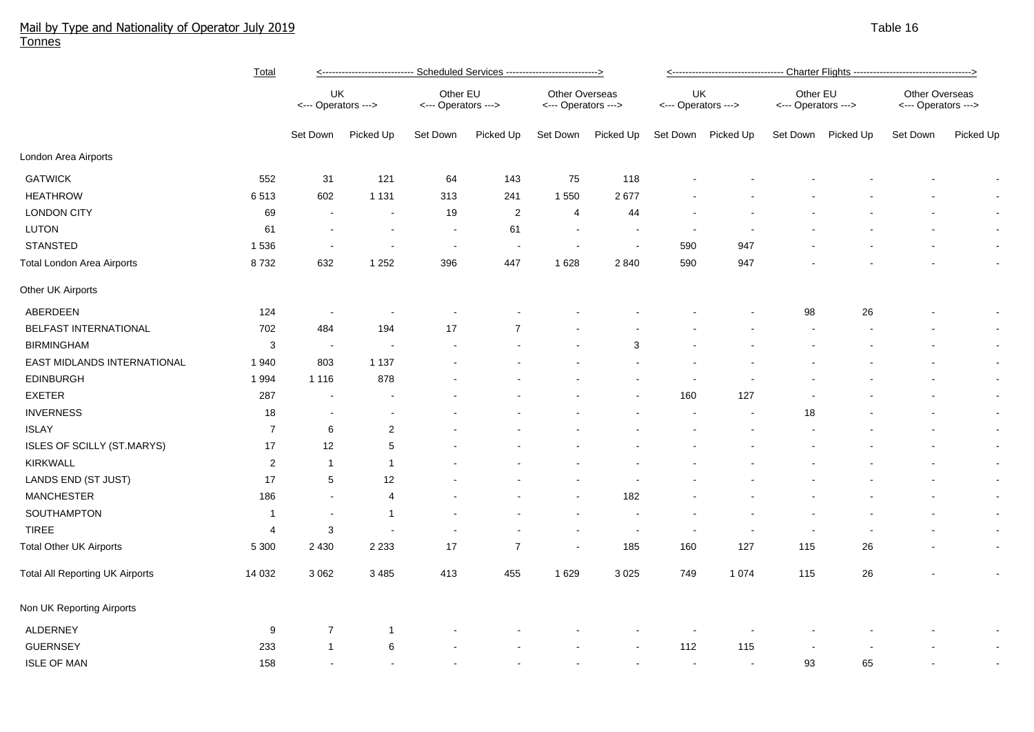## Mail by Type and Nationality of Operator July 2019 Table 16 Tonnes

|                                        | <b>Total</b>   | <---------------------------- Scheduled Services ---------------------------> |                          |                                 |                          |                                       |                |                           |                    |                                 |           |                                       |                          |  |
|----------------------------------------|----------------|-------------------------------------------------------------------------------|--------------------------|---------------------------------|--------------------------|---------------------------------------|----------------|---------------------------|--------------------|---------------------------------|-----------|---------------------------------------|--------------------------|--|
|                                        |                | UK<br><--- Operators --->                                                     |                          | Other EU<br><--- Operators ---> |                          | Other Overseas<br><--- Operators ---> |                | UK<br><--- Operators ---> |                    | Other EU<br><--- Operators ---> |           | Other Overseas<br><--- Operators ---> |                          |  |
|                                        |                | Set Down                                                                      | Picked Up                | Set Down                        | Picked Up                | Set Down                              | Picked Up      |                           | Set Down Picked Up | Set Down                        | Picked Up | Set Down                              | Picked Up                |  |
| London Area Airports                   |                |                                                                               |                          |                                 |                          |                                       |                |                           |                    |                                 |           |                                       |                          |  |
| <b>GATWICK</b>                         | 552            | 31                                                                            | 121                      | 64                              | 143                      | 75                                    | 118            |                           |                    |                                 |           |                                       |                          |  |
| <b>HEATHROW</b>                        | 6513           | 602                                                                           | 1 1 3 1                  | 313                             | 241                      | 1 5 5 0                               | 2677           |                           |                    |                                 |           |                                       |                          |  |
| <b>LONDON CITY</b>                     | 69             |                                                                               | $\blacksquare$           | 19                              | $\overline{c}$           | 4                                     | 44             |                           |                    |                                 |           |                                       |                          |  |
| LUTON                                  | 61             |                                                                               | $\blacksquare$           |                                 | 61                       |                                       |                |                           |                    |                                 |           |                                       | $\blacksquare$           |  |
| <b>STANSTED</b>                        | 1536           |                                                                               |                          | $\sim$                          | $\overline{\phantom{a}}$ |                                       | $\overline{a}$ | 590                       | 947                |                                 |           |                                       | $\blacksquare$           |  |
| <b>Total London Area Airports</b>      | 8732           | 632                                                                           | 1 2 5 2                  | 396                             | 447                      | 1 6 2 8                               | 2 8 4 0        | 590                       | 947                |                                 |           |                                       | $\blacksquare$           |  |
| Other UK Airports                      |                |                                                                               |                          |                                 |                          |                                       |                |                           |                    |                                 |           |                                       |                          |  |
| ABERDEEN                               | 124            | $\sim$                                                                        | $\overline{\phantom{a}}$ |                                 |                          |                                       |                |                           |                    | 98                              | 26        |                                       |                          |  |
| BELFAST INTERNATIONAL                  | 702            | 484                                                                           | 194                      | 17                              | $\overline{7}$           |                                       |                |                           |                    |                                 |           |                                       |                          |  |
| <b>BIRMINGHAM</b>                      | 3              | $\sim$                                                                        | $\sim$                   | $\sim$                          |                          |                                       | 3              |                           |                    |                                 |           |                                       |                          |  |
| EAST MIDLANDS INTERNATIONAL            | 1 940          | 803                                                                           | 1 1 3 7                  |                                 |                          |                                       |                |                           |                    |                                 |           |                                       | $\overline{\phantom{a}}$ |  |
| <b>EDINBURGH</b>                       | 1 9 9 4        | 1 1 1 6                                                                       | 878                      |                                 |                          |                                       |                |                           |                    |                                 |           |                                       | $\sim$                   |  |
| <b>EXETER</b>                          | 287            | $\overline{\phantom{a}}$                                                      | $\blacksquare$           |                                 |                          |                                       |                | 160                       | 127                |                                 |           |                                       | $\blacksquare$           |  |
| <b>INVERNESS</b>                       | 18             | $\sim$                                                                        |                          |                                 |                          |                                       |                | $\overline{\phantom{a}}$  |                    | 18                              |           |                                       | $\sim$                   |  |
| <b>ISLAY</b>                           | $\overline{7}$ | 6                                                                             | $\overline{c}$           |                                 |                          |                                       |                |                           |                    |                                 |           |                                       | $\sim$                   |  |
| ISLES OF SCILLY (ST.MARYS)             | 17             | 12                                                                            | 5                        |                                 |                          |                                       |                |                           |                    |                                 |           |                                       | $\blacksquare$           |  |
| <b>KIRKWALL</b>                        | $\overline{2}$ | $\mathbf{1}$                                                                  | $\overline{1}$           |                                 |                          |                                       |                |                           |                    |                                 |           |                                       | $\blacksquare$           |  |
| LANDS END (ST JUST)                    | 17             | 5                                                                             | 12                       |                                 |                          |                                       |                |                           |                    |                                 |           |                                       | $\blacksquare$           |  |
| <b>MANCHESTER</b>                      | 186            | $\blacksquare$                                                                | 4                        |                                 |                          |                                       | 182            |                           |                    |                                 |           |                                       |                          |  |
| SOUTHAMPTON                            | -1             | $\blacksquare$                                                                | 1                        |                                 |                          |                                       |                |                           |                    |                                 |           |                                       |                          |  |
| <b>TIREE</b>                           | $\overline{4}$ | 3                                                                             |                          |                                 |                          |                                       | $\blacksquare$ |                           |                    |                                 |           |                                       | $\overline{\phantom{a}}$ |  |
| <b>Total Other UK Airports</b>         | 5 3 0 0        | 2 4 3 0                                                                       | 2 2 3 3                  | 17                              | $\overline{7}$           | $\sim$                                | 185            | 160                       | 127                | 115                             | 26        |                                       | $\blacksquare$           |  |
| <b>Total All Reporting UK Airports</b> | 14 0 32        | 3 0 6 2                                                                       | 3 4 8 5                  | 413                             | 455                      | 1629                                  | 3 0 2 5        | 749                       | 1 0 7 4            | 115                             | 26        |                                       |                          |  |
| Non UK Reporting Airports              |                |                                                                               |                          |                                 |                          |                                       |                |                           |                    |                                 |           |                                       |                          |  |
| <b>ALDERNEY</b>                        | 9              | $\overline{7}$                                                                | -1                       |                                 |                          |                                       |                |                           |                    |                                 |           |                                       |                          |  |
| <b>GUERNSEY</b>                        | 233            | $\mathbf{1}$                                                                  | 6                        |                                 |                          |                                       |                | 112                       | 115                |                                 |           |                                       |                          |  |
| <b>ISLE OF MAN</b>                     | 158            |                                                                               |                          |                                 |                          |                                       |                | $\sim$                    |                    | 93                              | 65        |                                       |                          |  |